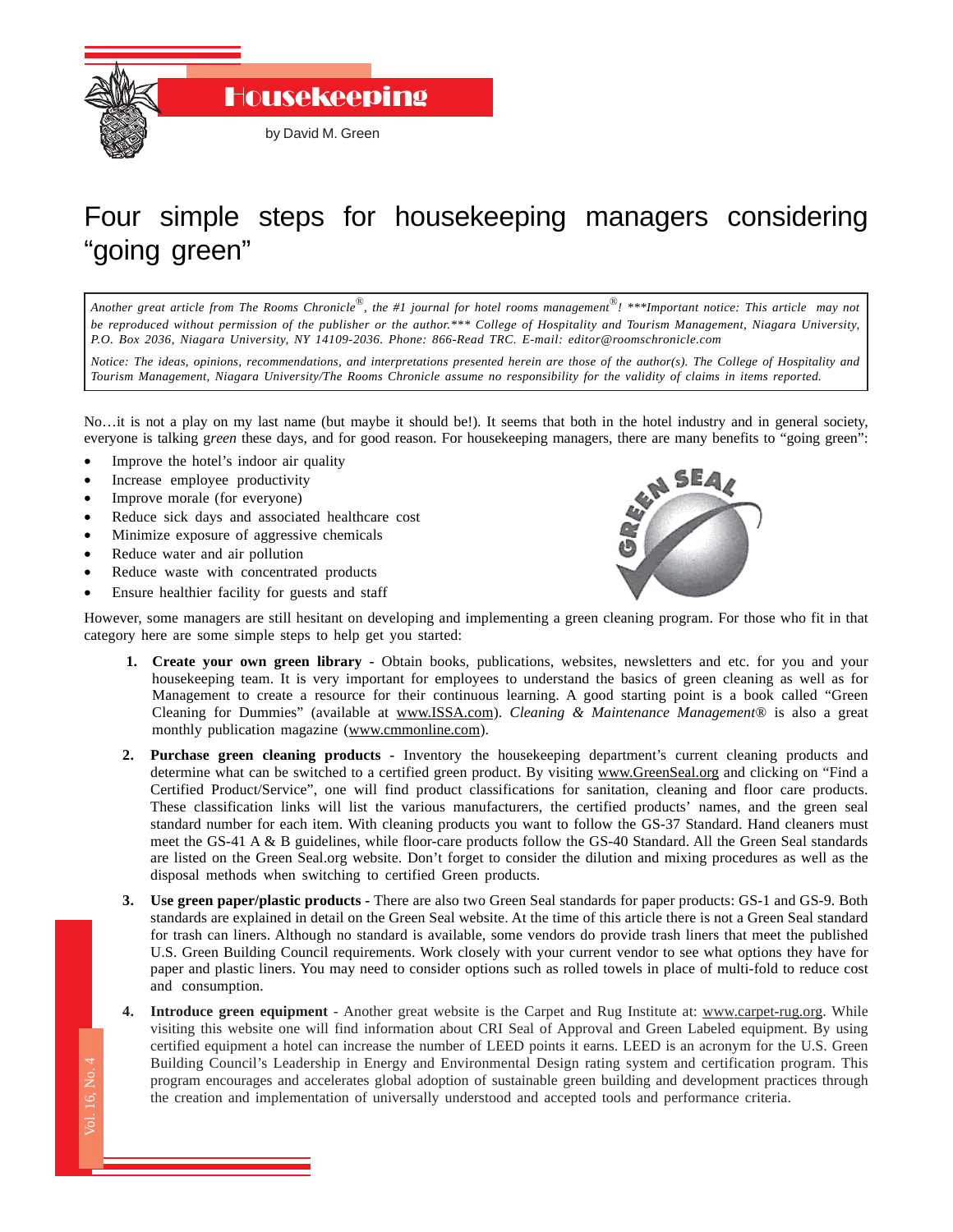

## Four simple steps for housekeeping managers considering "going green"

*Another great article from The Rooms Chronicle*®*, the #1 journal for hotel rooms management*®*! \*\*\*Important notice: This article may not be reproduced without permission of the publisher or the author.\*\*\* College of Hospitality and Tourism Management, Niagara University, P.O. Box 2036, Niagara University, NY 14109-2036. Phone: 866-Read TRC. E-mail: editor@roomschronicle.com*

*Notice: The ideas, opinions, recommendations, and interpretations presented herein are those of the author(s). The College of Hospitality and Tourism Management, Niagara University/The Rooms Chronicle assume no responsibility for the validity of claims in items reported.*

No…it is not a play on my last name (but maybe it should be!). It seems that both in the hotel industry and in general society, everyone is talking g*reen* these days, and for good reason. For housekeeping managers, there are many benefits to "going green":

- Improve the hotel's indoor air quality
- Increase employee productivity
- Improve morale (for everyone)
- Reduce sick days and associated healthcare cost
- Minimize exposure of aggressive chemicals
- Reduce water and air pollution

Vol. 16, No. 4

- Reduce waste with concentrated products
- Ensure healthier facility for guests and staff



However, some managers are still hesitant on developing and implementing a green cleaning program. For those who fit in that category here are some simple steps to help get you started:

- **1. Create your own green library -** Obtain books, publications, websites, newsletters and etc. for you and your housekeeping team. It is very important for employees to understand the basics of green cleaning as well as for Management to create a resource for their continuous learning. A good starting point is a book called "Green Cleaning for Dummies" (available at www.ISSA.com). *Cleaning & Maintenance Management*® is also a great monthly publication magazine (www.cmmonline.com).
- **2. Purchase green cleaning products -** Inventory the housekeeping department's current cleaning products and determine what can be switched to a certified green product. By visiting www.GreenSeal.org and clicking on "Find a Certified Product/Service", one will find product classifications for sanitation, cleaning and floor care products. These classification links will list the various manufacturers, the certified products' names, and the green seal standard number for each item. With cleaning products you want to follow the GS-37 Standard. Hand cleaners must meet the GS-41 A & B guidelines, while floor-care products follow the GS-40 Standard. All the Green Seal standards are listed on the Green Seal.org website. Don't forget to consider the dilution and mixing procedures as well as the disposal methods when switching to certified Green products.
- **3. Use green paper/plastic products -** There are also two Green Seal standards for paper products: GS-1 and GS-9. Both standards are explained in detail on the Green Seal website. At the time of this article there is not a Green Seal standard for trash can liners. Although no standard is available, some vendors do provide trash liners that meet the published U.S. Green Building Council requirements. Work closely with your current vendor to see what options they have for paper and plastic liners. You may need to consider options such as rolled towels in place of multi-fold to reduce cost and consumption.
- $\overline{a}$ **4. Introduce green equipment** - Another great website is the Carpet and Rug Institute at: www.carpet-rug.org. While visiting this website one will find information about CRI Seal of Approval and Green Labeled equipment. By using certified equipment a hotel can increase the number of LEED points it earns. LEED is an acronym for the U.S. Green Building Council's Leadership in Energy and Environmental Design rating system and certification program. This program encourages and accelerates global adoption of sustainable green building and development practices through the creation and implementation of universally understood and accepted tools and performance criteria.